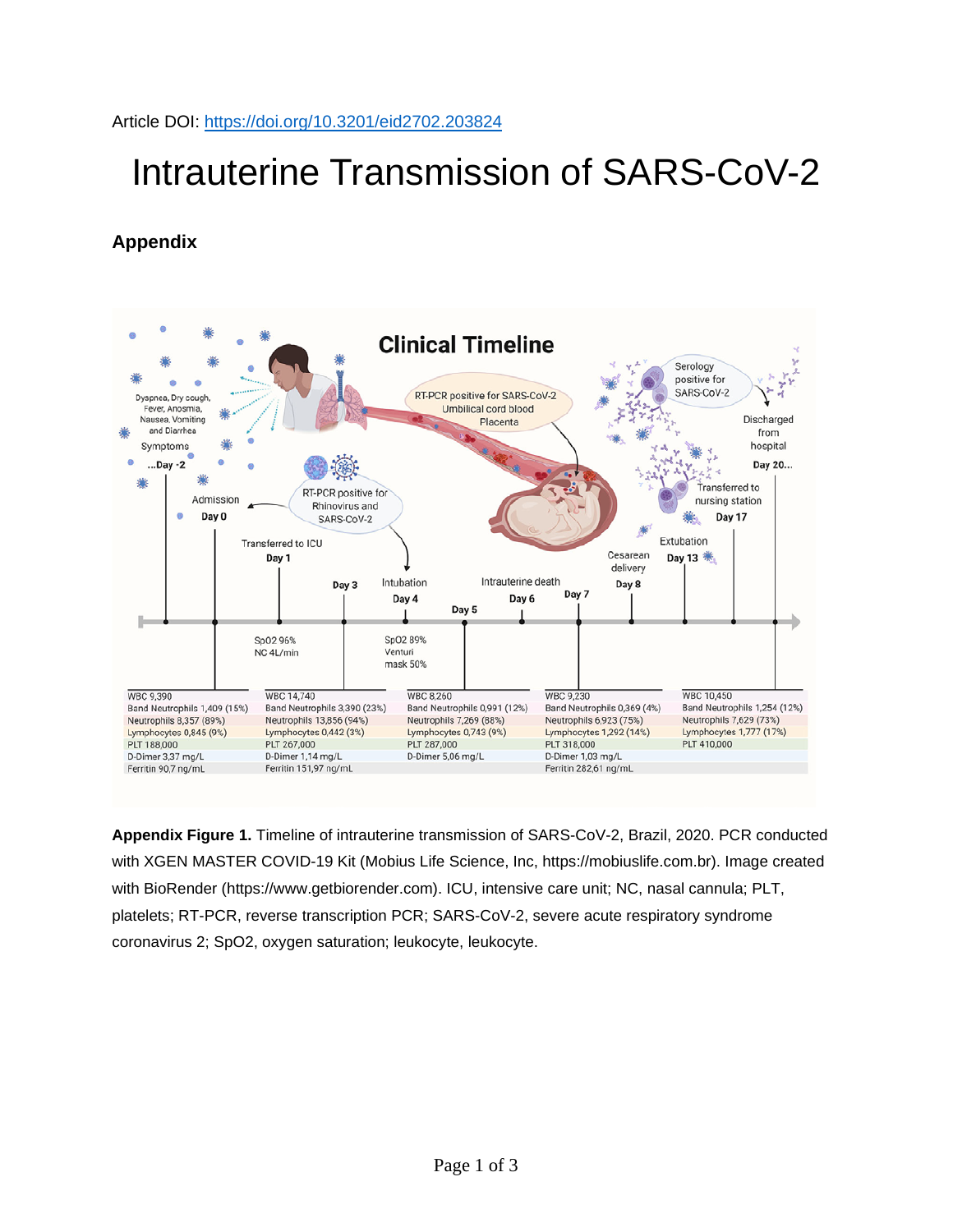Article DOI:<https://doi.org/10.3201/eid2702.203824>

## Intrauterine Transmission of SARS-CoV-2

## **Appendix**



**Appendix Figure 1.** Timeline of intrauterine transmission of SARS-CoV-2, Brazil, 2020. PCR conducted with XGEN MASTER COVID-19 Kit (Mobius Life Science, Inc, https://mobiuslife.com.br). Image created with BioRender (https://www.getbiorender.com). ICU, intensive care unit; NC, nasal cannula; PLT, platelets; RT-PCR, reverse transcription PCR; SARS-CoV-2, severe acute respiratory syndrome coronavirus 2; SpO2, oxygen saturation; leukocyte, leukocyte.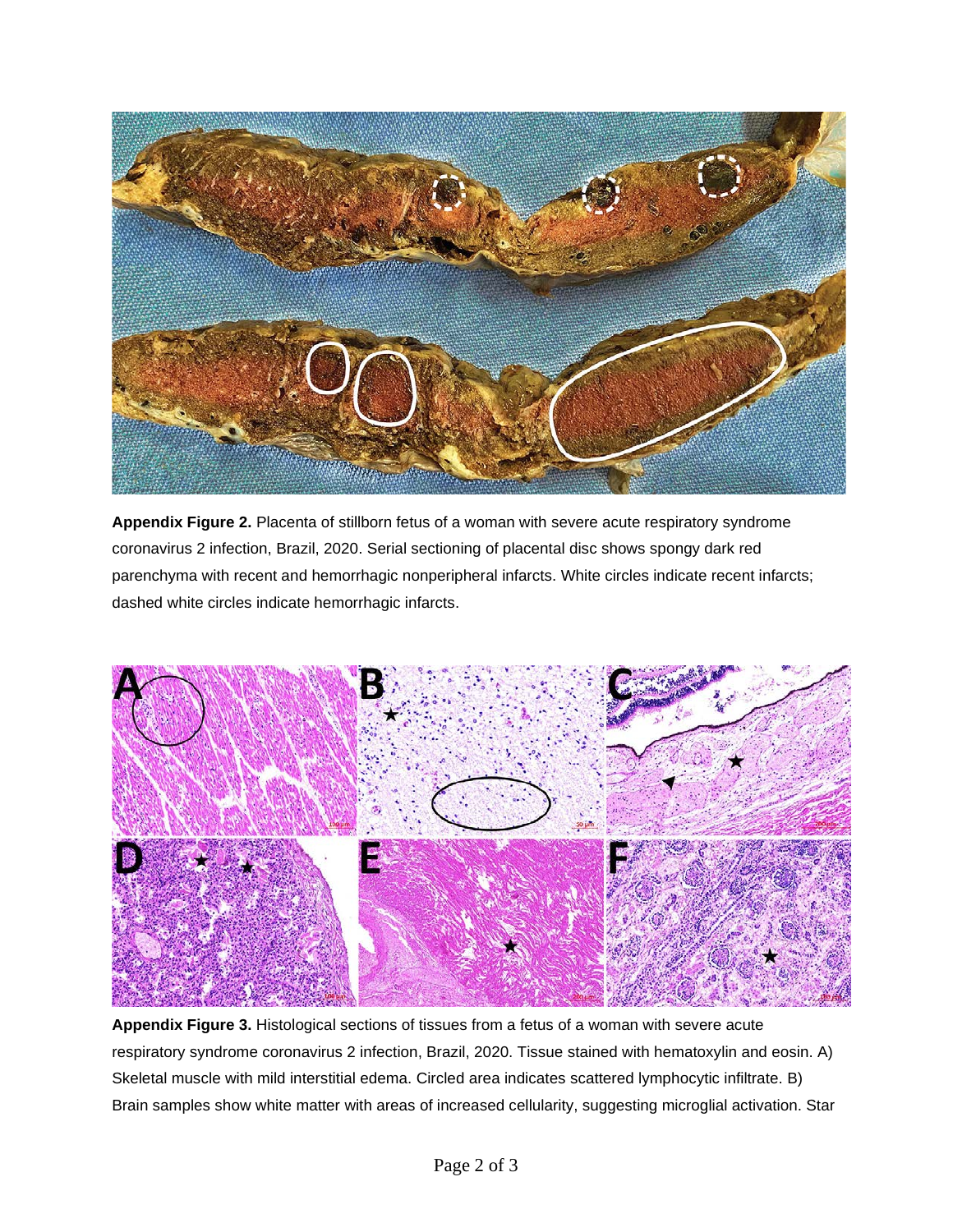

**Appendix Figure 2.** Placenta of stillborn fetus of a woman with severe acute respiratory syndrome coronavirus 2 infection, Brazil, 2020. Serial sectioning of placental disc shows spongy dark red parenchyma with recent and hemorrhagic nonperipheral infarcts. White circles indicate recent infarcts; dashed white circles indicate hemorrhagic infarcts.



**Appendix Figure 3.** Histological sections of tissues from a fetus of a woman with severe acute respiratory syndrome coronavirus 2 infection, Brazil, 2020. Tissue stained with hematoxylin and eosin. A) Skeletal muscle with mild interstitial edema. Circled area indicates scattered lymphocytic infiltrate. B) Brain samples show white matter with areas of increased cellularity, suggesting microglial activation. Star